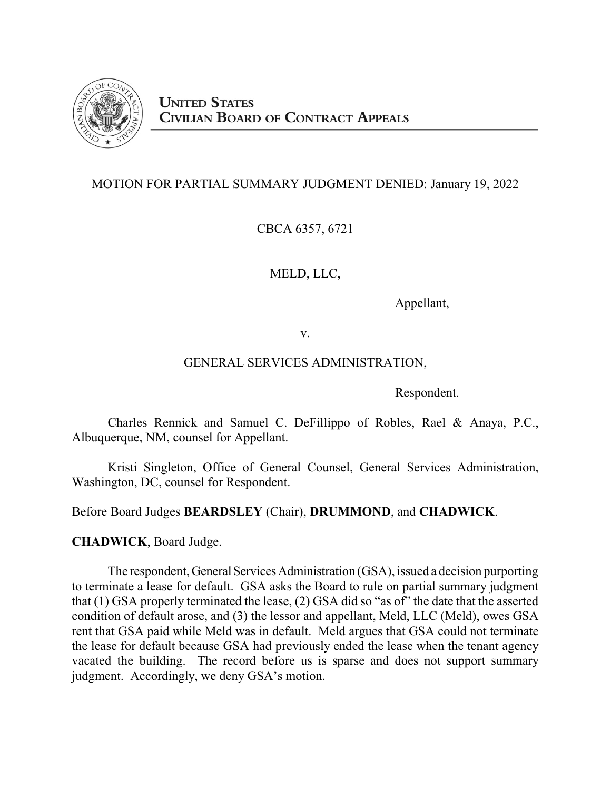

# MOTION FOR PARTIAL SUMMARY JUDGMENT DENIED: January 19, 2022

CBCA 6357, 6721

MELD, LLC,

Appellant,

v.

# GENERAL SERVICES ADMINISTRATION,

Respondent.

Charles Rennick and Samuel C. DeFillippo of Robles, Rael & Anaya, P.C., Albuquerque, NM, counsel for Appellant.

Kristi Singleton, Office of General Counsel, General Services Administration, Washington, DC, counsel for Respondent.

Before Board Judges **BEARDSLEY** (Chair), **DRUMMOND**, and **CHADWICK**.

**CHADWICK**, Board Judge.

The respondent, General Services Administration (GSA), issued a decision purporting to terminate a lease for default. GSA asks the Board to rule on partial summary judgment that (1) GSA properly terminated the lease, (2) GSA did so "as of" the date that the asserted condition of default arose, and (3) the lessor and appellant, Meld, LLC (Meld), owes GSA rent that GSA paid while Meld was in default. Meld argues that GSA could not terminate the lease for default because GSA had previously ended the lease when the tenant agency vacated the building. The record before us is sparse and does not support summary judgment. Accordingly, we deny GSA's motion.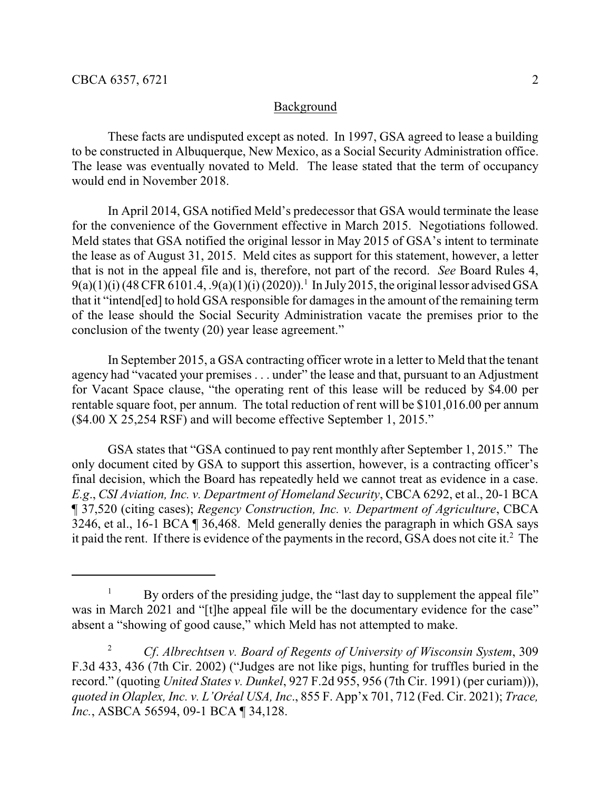## Background

These facts are undisputed except as noted. In 1997, GSA agreed to lease a building to be constructed in Albuquerque, New Mexico, as a Social Security Administration office. The lease was eventually novated to Meld. The lease stated that the term of occupancy would end in November 2018.

In April 2014, GSA notified Meld's predecessor that GSA would terminate the lease for the convenience of the Government effective in March 2015. Negotiations followed. Meld states that GSA notified the original lessor in May 2015 of GSA's intent to terminate the lease as of August 31, 2015. Meld cites as support for this statement, however, a letter that is not in the appeal file and is, therefore, not part of the record. *See* Board Rules 4,  $9(a)(1)(i)$  (48 CFR 6101.4, .9(a)(1)(i) (2020)).<sup>1</sup> In July 2015, the original lessor advised GSA that it "intend[ed] to hold GSA responsible for damages in the amount of the remaining term of the lease should the Social Security Administration vacate the premises prior to the conclusion of the twenty (20) year lease agreement."

In September 2015, a GSA contracting officer wrote in a letter to Meld that the tenant agency had "vacated your premises . . . under" the lease and that, pursuant to an Adjustment for Vacant Space clause, "the operating rent of this lease will be reduced by \$4.00 per rentable square foot, per annum. The total reduction of rent will be \$101,016.00 per annum (\$4.00 X 25,254 RSF) and will become effective September 1, 2015."

GSA states that "GSA continued to pay rent monthly after September 1, 2015." The only document cited by GSA to support this assertion, however, is a contracting officer's final decision, which the Board has repeatedly held we cannot treat as evidence in a case. *E.g*., *CSI Aviation, Inc. v. Department of Homeland Security*, CBCA 6292, et al., 20-1 BCA ¶ 37,520 (citing cases); *Regency Construction, Inc. v. Department of Agriculture*, CBCA 3246, et al., 16-1 BCA ¶ 36,468. Meld generally denies the paragraph in which GSA says it paid the rent. If there is evidence of the payments in the record, GSA does not cite it.<sup>2</sup> The

<sup>&</sup>lt;sup>1</sup> By orders of the presiding judge, the "last day to supplement the appeal file" was in March 2021 and "[t]he appeal file will be the documentary evidence for the case" absent a "showing of good cause," which Meld has not attempted to make.

<sup>2</sup> *Cf*. *Albrechtsen v. Board of Regents of University of Wisconsin System*, 309 F.3d 433, 436 (7th Cir. 2002) ("Judges are not like pigs, hunting for truffles buried in the record." (quoting *United States v. Dunkel*, 927 F.2d 955, 956 (7th Cir. 1991) (per curiam))), *quoted in Olaplex, Inc. v. L'Oréal USA, Inc*., 855 F. App'x 701, 712 (Fed. Cir. 2021); *Trace, Inc.*, ASBCA 56594, 09-1 BCA ¶ 34,128.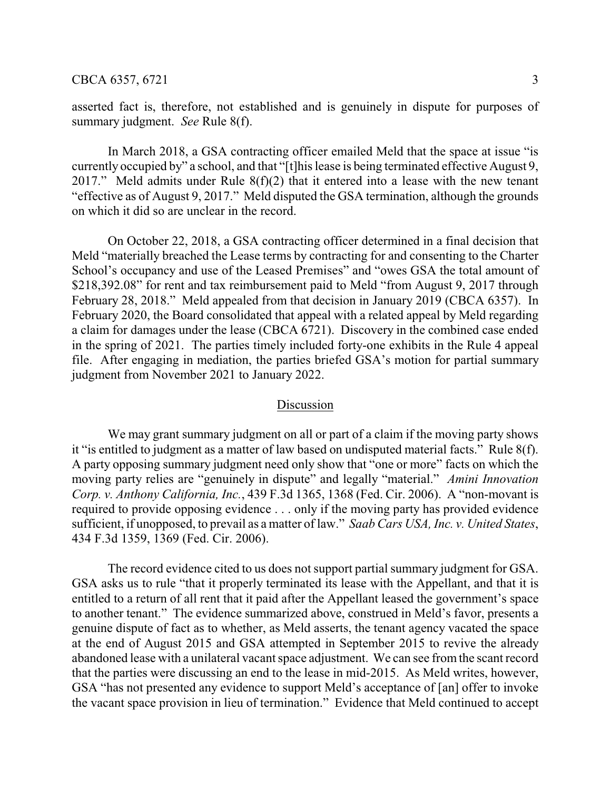#### CBCA 6357, 6721 3

asserted fact is, therefore, not established and is genuinely in dispute for purposes of summary judgment. *See* Rule 8(f).

In March 2018, a GSA contracting officer emailed Meld that the space at issue "is currently occupied by" a school, and that "[t]his lease is being terminated effective August 9, 2017." Meld admits under Rule  $8(f)(2)$  that it entered into a lease with the new tenant "effective as of August 9, 2017." Meld disputed the GSA termination, although the grounds on which it did so are unclear in the record.

On October 22, 2018, a GSA contracting officer determined in a final decision that Meld "materially breached the Lease terms by contracting for and consenting to the Charter School's occupancy and use of the Leased Premises" and "owes GSA the total amount of \$218,392.08" for rent and tax reimbursement paid to Meld "from August 9, 2017 through February 28, 2018." Meld appealed from that decision in January 2019 (CBCA 6357). In February 2020, the Board consolidated that appeal with a related appeal by Meld regarding a claim for damages under the lease (CBCA 6721). Discovery in the combined case ended in the spring of 2021. The parties timely included forty-one exhibits in the Rule 4 appeal file. After engaging in mediation, the parties briefed GSA's motion for partial summary judgment from November 2021 to January 2022.

### Discussion

We may grant summary judgment on all or part of a claim if the moving party shows it "is entitled to judgment as a matter of law based on undisputed material facts." Rule 8(f). A party opposing summary judgment need only show that "one or more" facts on which the moving party relies are "genuinely in dispute" and legally "material." *Amini Innovation Corp. v. Anthony California, Inc.*, 439 F.3d 1365, 1368 (Fed. Cir. 2006). A "non-movant is required to provide opposing evidence . . . only if the moving party has provided evidence sufficient, if unopposed, to prevail as a matter of law." *Saab Cars USA, Inc. v. United States*, 434 F.3d 1359, 1369 (Fed. Cir. 2006).

The record evidence cited to us does not support partial summary judgment for GSA. GSA asks us to rule "that it properly terminated its lease with the Appellant, and that it is entitled to a return of all rent that it paid after the Appellant leased the government's space to another tenant." The evidence summarized above, construed in Meld's favor, presents a genuine dispute of fact as to whether, as Meld asserts, the tenant agency vacated the space at the end of August 2015 and GSA attempted in September 2015 to revive the already abandoned lease with a unilateral vacant space adjustment. We can see fromthe scant record that the parties were discussing an end to the lease in mid-2015. As Meld writes, however, GSA "has not presented any evidence to support Meld's acceptance of [an] offer to invoke the vacant space provision in lieu of termination." Evidence that Meld continued to accept